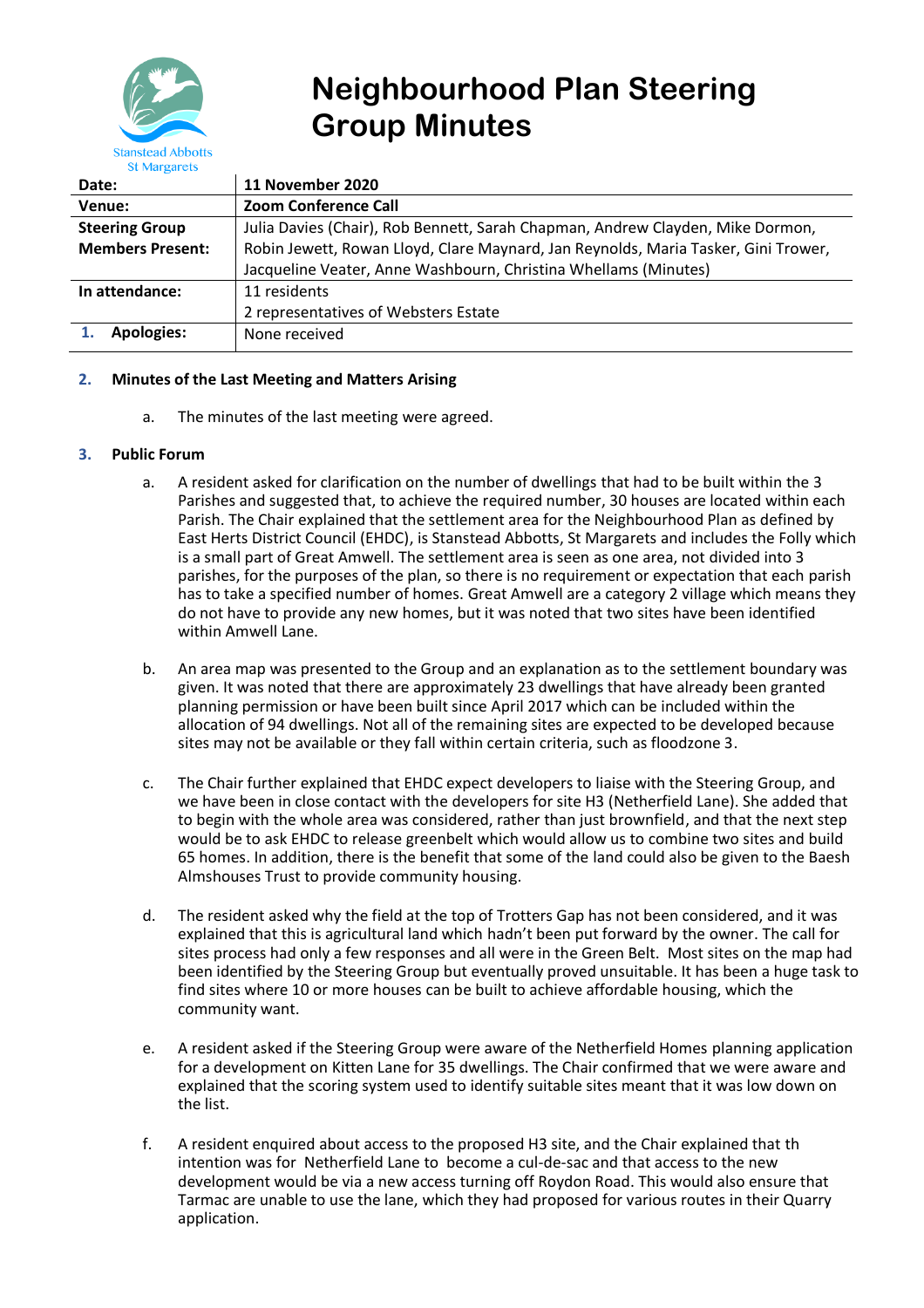

# **Neighbourhood Plan Steering Group Minutes**

| Date:                   | 11 November 2020                                                                   |
|-------------------------|------------------------------------------------------------------------------------|
| Venue:                  | <b>Zoom Conference Call</b>                                                        |
| <b>Steering Group</b>   | Julia Davies (Chair), Rob Bennett, Sarah Chapman, Andrew Clayden, Mike Dormon,     |
| <b>Members Present:</b> | Robin Jewett, Rowan Lloyd, Clare Maynard, Jan Reynolds, Maria Tasker, Gini Trower, |
|                         | Jacqueline Veater, Anne Washbourn, Christina Whellams (Minutes)                    |
| In attendance:          | 11 residents                                                                       |
|                         | 2 representatives of Websters Estate                                               |
| <b>Apologies:</b>       | None received                                                                      |

# **2. Minutes of the Last Meeting and Matters Arising**

a. The minutes of the last meeting were agreed.

## **3. Public Forum**

- a. A resident asked for clarification on the number of dwellings that had to be built within the 3 Parishes and suggested that, to achieve the required number, 30 houses are located within each Parish. The Chair explained that the settlement area for the Neighbourhood Plan as defined by East Herts District Council (EHDC), is Stanstead Abbotts, St Margarets and includes the Folly which is a small part of Great Amwell. The settlement area is seen as one area, not divided into 3 parishes, for the purposes of the plan, so there is no requirement or expectation that each parish has to take a specified number of homes. Great Amwell are a category 2 village which means they do not have to provide any new homes, but it was noted that two sites have been identified within Amwell Lane.
- b. An area map was presented to the Group and an explanation as to the settlement boundary was given. It was noted that there are approximately 23 dwellings that have already been granted planning permission or have been built since April 2017 which can be included within the allocation of 94 dwellings. Not all of the remaining sites are expected to be developed because sites may not be available or they fall within certain criteria, such as floodzone 3.
- c. The Chair further explained that EHDC expect developers to liaise with the Steering Group, and we have been in close contact with the developers for site H3 (Netherfield Lane). She added that to begin with the whole area was considered, rather than just brownfield, and that the next step would be to ask EHDC to release greenbelt which would allow us to combine two sites and build 65 homes. In addition, there is the benefit that some of the land could also be given to the Baesh Almshouses Trust to provide community housing.
- d. The resident asked why the field at the top of Trotters Gap has not been considered, and it was explained that this is agricultural land which hadn't been put forward by the owner. The call for sites process had only a few responses and all were in the Green Belt. Most sites on the map had been identified by the Steering Group but eventually proved unsuitable. It has been a huge task to find sites where 10 or more houses can be built to achieve affordable housing, which the community want.
- e. A resident asked if the Steering Group were aware of the Netherfield Homes planning application for a development on Kitten Lane for 35 dwellings. The Chair confirmed that we were aware and explained that the scoring system used to identify suitable sites meant that it was low down on the list.
- f. A resident enquired about access to the proposed H3 site, and the Chair explained that th intention was for Netherfield Lane to become a cul-de-sac and that access to the new development would be via a new access turning off Roydon Road. This would also ensure that Tarmac are unable to use the lane, which they had proposed for various routes in their Quarry application.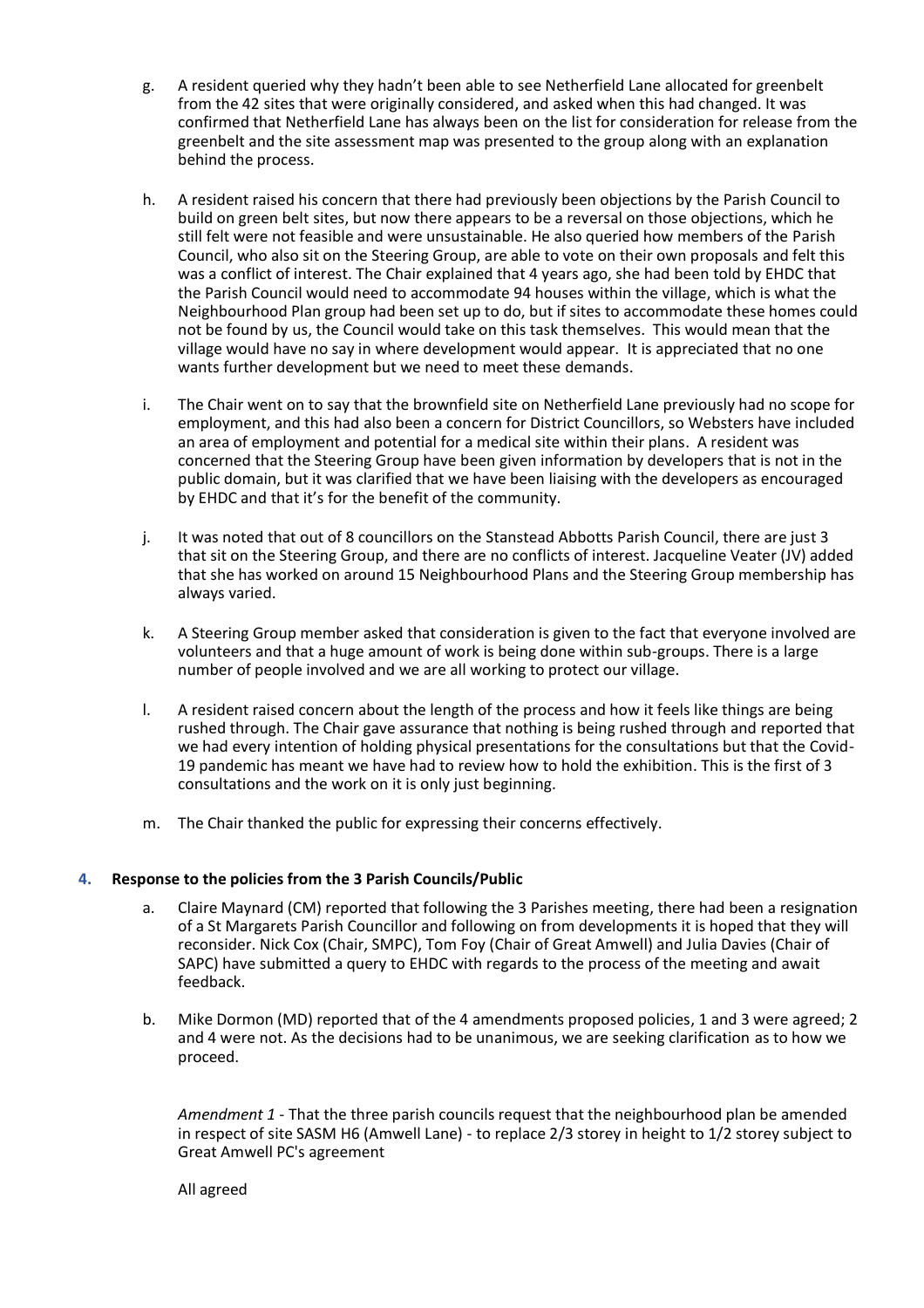- g. A resident queried why they hadn't been able to see Netherfield Lane allocated for greenbelt from the 42 sites that were originally considered, and asked when this had changed. It was confirmed that Netherfield Lane has always been on the list for consideration for release from the greenbelt and the site assessment map was presented to the group along with an explanation behind the process.
- h. A resident raised his concern that there had previously been objections by the Parish Council to build on green belt sites, but now there appears to be a reversal on those objections, which he still felt were not feasible and were unsustainable. He also queried how members of the Parish Council, who also sit on the Steering Group, are able to vote on their own proposals and felt this was a conflict of interest. The Chair explained that 4 years ago, she had been told by EHDC that the Parish Council would need to accommodate 94 houses within the village, which is what the Neighbourhood Plan group had been set up to do, but if sites to accommodate these homes could not be found by us, the Council would take on this task themselves. This would mean that the village would have no say in where development would appear. It is appreciated that no one wants further development but we need to meet these demands.
- i. The Chair went on to say that the brownfield site on Netherfield Lane previously had no scope for employment, and this had also been a concern for District Councillors, so Websters have included an area of employment and potential for a medical site within their plans. A resident was concerned that the Steering Group have been given information by developers that is not in the public domain, but it was clarified that we have been liaising with the developers as encouraged by EHDC and that it's for the benefit of the community.
- j. It was noted that out of 8 councillors on the Stanstead Abbotts Parish Council, there are just 3 that sit on the Steering Group, and there are no conflicts of interest. Jacqueline Veater (JV) added that she has worked on around 15 Neighbourhood Plans and the Steering Group membership has always varied.
- k. A Steering Group member asked that consideration is given to the fact that everyone involved are volunteers and that a huge amount of work is being done within sub-groups. There is a large number of people involved and we are all working to protect our village.
- l. A resident raised concern about the length of the process and how it feels like things are being rushed through. The Chair gave assurance that nothing is being rushed through and reported that we had every intention of holding physical presentations for the consultations but that the Covid-19 pandemic has meant we have had to review how to hold the exhibition. This is the first of 3 consultations and the work on it is only just beginning.
- m. The Chair thanked the public for expressing their concerns effectively.

# **4. Response to the policies from the 3 Parish Councils/Public**

- a. Claire Maynard (CM) reported that following the 3 Parishes meeting, there had been a resignation of a St Margarets Parish Councillor and following on from developments it is hoped that they will reconsider. Nick Cox (Chair, SMPC), Tom Foy (Chair of Great Amwell) and Julia Davies (Chair of SAPC) have submitted a query to EHDC with regards to the process of the meeting and await feedback.
- b. Mike Dormon (MD) reported that of the 4 amendments proposed policies, 1 and 3 were agreed; 2 and 4 were not. As the decisions had to be unanimous, we are seeking clarification as to how we proceed.

*Amendment 1* - That the three parish councils request that the neighbourhood plan be amended in respect of site SASM H6 (Amwell Lane) - to replace 2/3 storey in height to 1/2 storey subject to Great Amwell PC's agreement

All agreed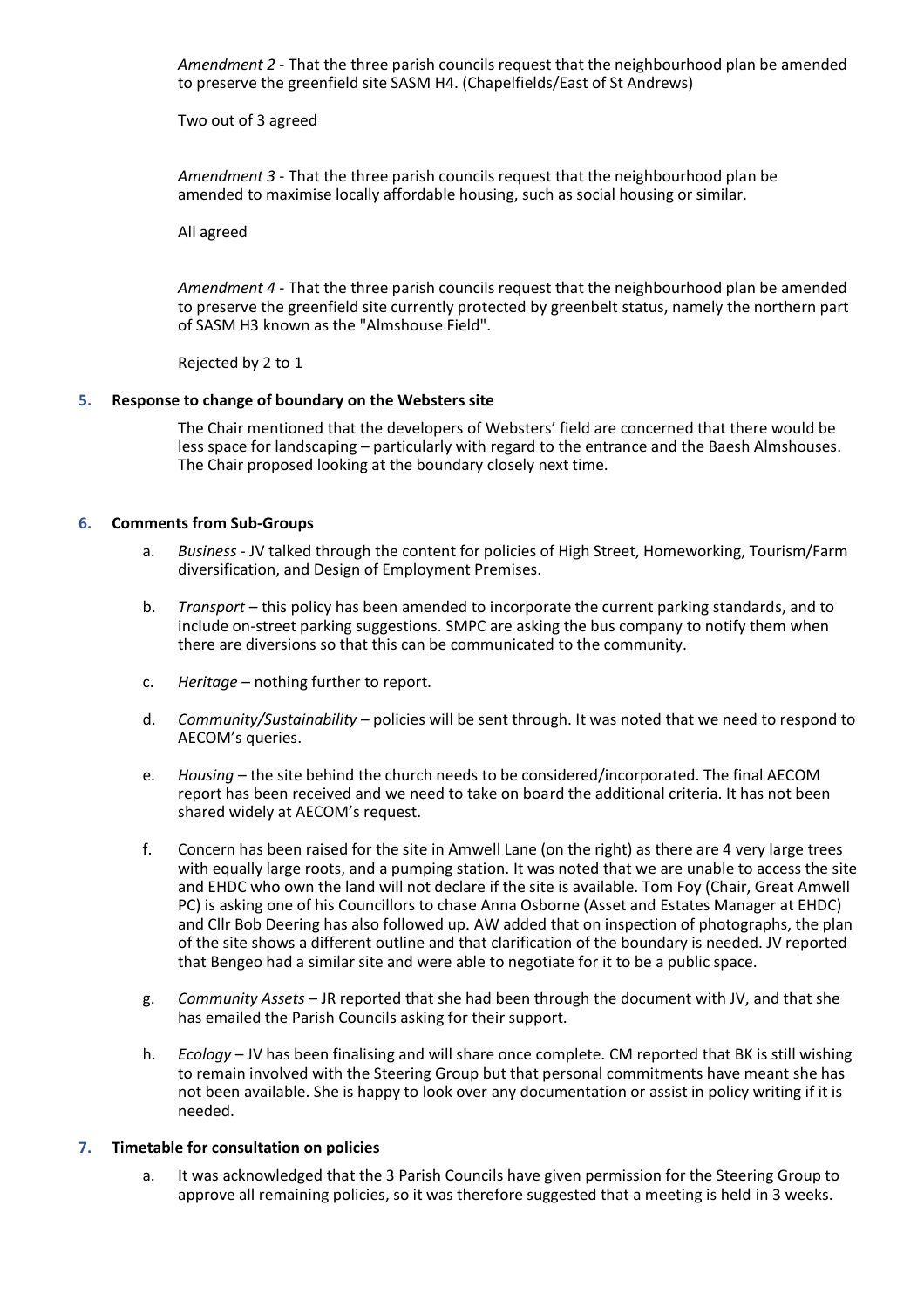*Amendment 2* - That the three parish councils request that the neighbourhood plan be amended to preserve the greenfield site SASM H4. (Chapelfields/East of St Andrews)

Two out of 3 agreed

*Amendment 3* - That the three parish councils request that the neighbourhood plan be amended to maximise locally affordable housing, such as social housing or similar.

All agreed

*Amendment 4* - That the three parish councils request that the neighbourhood plan be amended to preserve the greenfield site currently protected by greenbelt status, namely the northern part of SASM H3 known as the "Almshouse Field".

Rejected by 2 to 1

## **5. Response to change of boundary on the Websters site**

The Chair mentioned that the developers of Websters' field are concerned that there would be less space for landscaping – particularly with regard to the entrance and the Baesh Almshouses. The Chair proposed looking at the boundary closely next time.

## **6. Comments from Sub-Groups**

- a. *Business* JV talked through the content for policies of High Street, Homeworking, Tourism/Farm diversification, and Design of Employment Premises.
- b. *Transport*  this policy has been amended to incorporate the current parking standards, and to include on-street parking suggestions. SMPC are asking the bus company to notify them when there are diversions so that this can be communicated to the community.
- c. *Heritage*  nothing further to report.
- d. *Community/Sustainability*  policies will be sent through. It was noted that we need to respond to AECOM's queries.
- e. *Housing*  the site behind the church needs to be considered/incorporated. The final AECOM report has been received and we need to take on board the additional criteria. It has not been shared widely at AECOM's request.
- f. Concern has been raised for the site in Amwell Lane (on the right) as there are 4 very large trees with equally large roots, and a pumping station. It was noted that we are unable to access the site and EHDC who own the land will not declare if the site is available. Tom Foy (Chair, Great Amwell PC) is asking one of his Councillors to chase Anna Osborne (Asset and Estates Manager at EHDC) and Cllr Bob Deering has also followed up. AW added that on inspection of photographs, the plan of the site shows a different outline and that clarification of the boundary is needed. JV reported that Bengeo had a similar site and were able to negotiate for it to be a public space.
- g. *Community Assets* JR reported that she had been through the document with JV, and that she has emailed the Parish Councils asking for their support.
- h. *Ecology* JV has been finalising and will share once complete. CM reported that BK is still wishing to remain involved with the Steering Group but that personal commitments have meant she has not been available. She is happy to look over any documentation or assist in policy writing if it is needed.

#### **7. Timetable for consultation on policies**

a. It was acknowledged that the 3 Parish Councils have given permission for the Steering Group to approve all remaining policies, so it was therefore suggested that a meeting is held in 3 weeks.